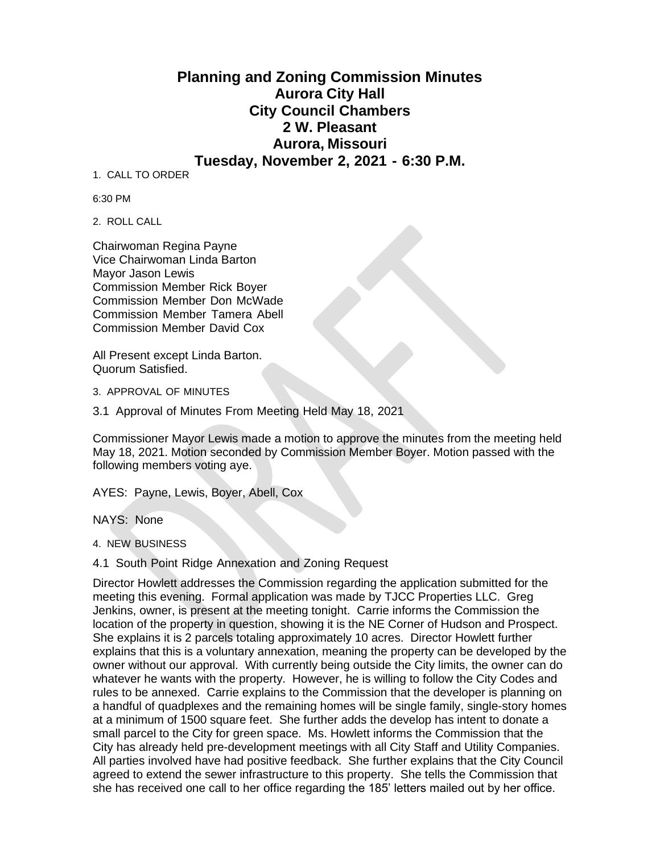## **Planning and Zoning Commission Minutes Aurora City Hall City Council Chambers 2 W. Pleasant Aurora, Missouri Tuesday, November 2, 2021 - 6:30 P.M.**

1. CALL TO ORDER

6:30 PM

2. ROLL CALL

Chairwoman Regina Payne Vice Chairwoman Linda Barton Mayor Jason Lewis Commission Member Rick Boyer Commission Member Don McWade Commission Member Tamera Abell Commission Member David Cox

All Present except Linda Barton. Quorum Satisfied.

3. APPROVAL OF MINUTES

3.1 Approval of Minutes From Meeting Held May 18, 2021

Commissioner Mayor Lewis made a motion to approve the minutes from the meeting held May 18, 2021. Motion seconded by Commission Member Boyer. Motion passed with the following members voting aye.

AYES: Payne, Lewis, Boyer, Abell, Cox

NAYS: None

4. NEW BUSINESS

4.1 South Point Ridge Annexation and Zoning Request

Director Howlett addresses the Commission regarding the application submitted for the meeting this evening. Formal application was made by TJCC Properties LLC. Greg Jenkins, owner, is present at the meeting tonight. Carrie informs the Commission the location of the property in question, showing it is the NE Corner of Hudson and Prospect. She explains it is 2 parcels totaling approximately 10 acres. Director Howlett further explains that this is a voluntary annexation, meaning the property can be developed by the owner without our approval. With currently being outside the City limits, the owner can do whatever he wants with the property. However, he is willing to follow the City Codes and rules to be annexed. Carrie explains to the Commission that the developer is planning on a handful of quadplexes and the remaining homes will be single family, single-story homes at a minimum of 1500 square feet. She further adds the develop has intent to donate a small parcel to the City for green space. Ms. Howlett informs the Commission that the City has already held pre-development meetings with all City Staff and Utility Companies. All parties involved have had positive feedback. She further explains that the City Council agreed to extend the sewer infrastructure to this property. She tells the Commission that she has received one call to her office regarding the 185' letters mailed out by her office.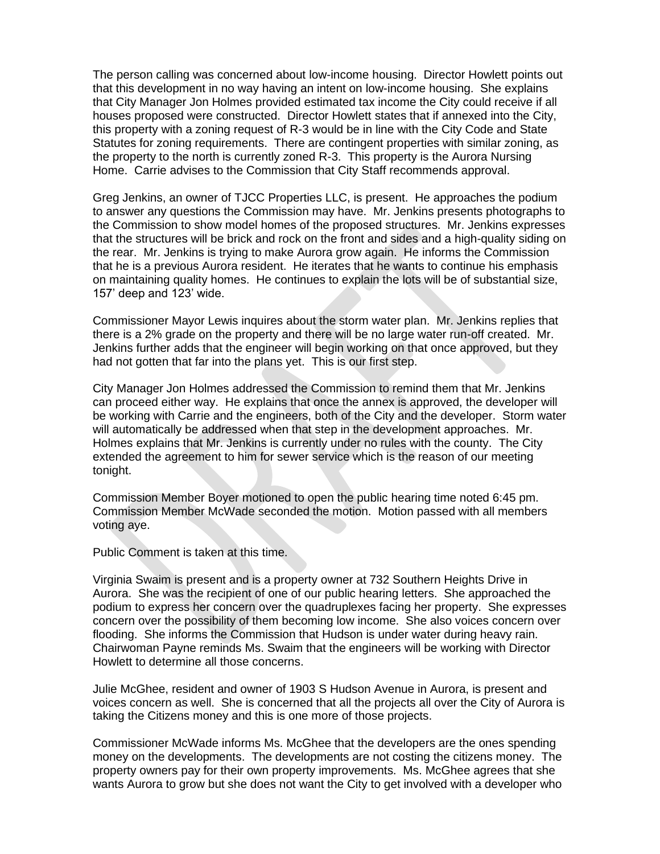The person calling was concerned about low-income housing. Director Howlett points out that this development in no way having an intent on low-income housing. She explains that City Manager Jon Holmes provided estimated tax income the City could receive if all houses proposed were constructed. Director Howlett states that if annexed into the City, this property with a zoning request of R-3 would be in line with the City Code and State Statutes for zoning requirements. There are contingent properties with similar zoning, as the property to the north is currently zoned R-3. This property is the Aurora Nursing Home. Carrie advises to the Commission that City Staff recommends approval.

Greg Jenkins, an owner of TJCC Properties LLC, is present. He approaches the podium to answer any questions the Commission may have. Mr. Jenkins presents photographs to the Commission to show model homes of the proposed structures. Mr. Jenkins expresses that the structures will be brick and rock on the front and sides and a high-quality siding on the rear. Mr. Jenkins is trying to make Aurora grow again. He informs the Commission that he is a previous Aurora resident. He iterates that he wants to continue his emphasis on maintaining quality homes. He continues to explain the lots will be of substantial size, 157' deep and 123' wide.

Commissioner Mayor Lewis inquires about the storm water plan. Mr. Jenkins replies that there is a 2% grade on the property and there will be no large water run-off created. Mr. Jenkins further adds that the engineer will begin working on that once approved, but they had not gotten that far into the plans yet. This is our first step.

City Manager Jon Holmes addressed the Commission to remind them that Mr. Jenkins can proceed either way. He explains that once the annex is approved, the developer will be working with Carrie and the engineers, both of the City and the developer. Storm water will automatically be addressed when that step in the development approaches. Mr. Holmes explains that Mr. Jenkins is currently under no rules with the county. The City extended the agreement to him for sewer service which is the reason of our meeting tonight.

Commission Member Boyer motioned to open the public hearing time noted 6:45 pm. Commission Member McWade seconded the motion. Motion passed with all members voting aye.

Public Comment is taken at this time.

Virginia Swaim is present and is a property owner at 732 Southern Heights Drive in Aurora. She was the recipient of one of our public hearing letters. She approached the podium to express her concern over the quadruplexes facing her property. She expresses concern over the possibility of them becoming low income. She also voices concern over flooding. She informs the Commission that Hudson is under water during heavy rain. Chairwoman Payne reminds Ms. Swaim that the engineers will be working with Director Howlett to determine all those concerns.

Julie McGhee, resident and owner of 1903 S Hudson Avenue in Aurora, is present and voices concern as well. She is concerned that all the projects all over the City of Aurora is taking the Citizens money and this is one more of those projects.

Commissioner McWade informs Ms. McGhee that the developers are the ones spending money on the developments. The developments are not costing the citizens money. The property owners pay for their own property improvements. Ms. McGhee agrees that she wants Aurora to grow but she does not want the City to get involved with a developer who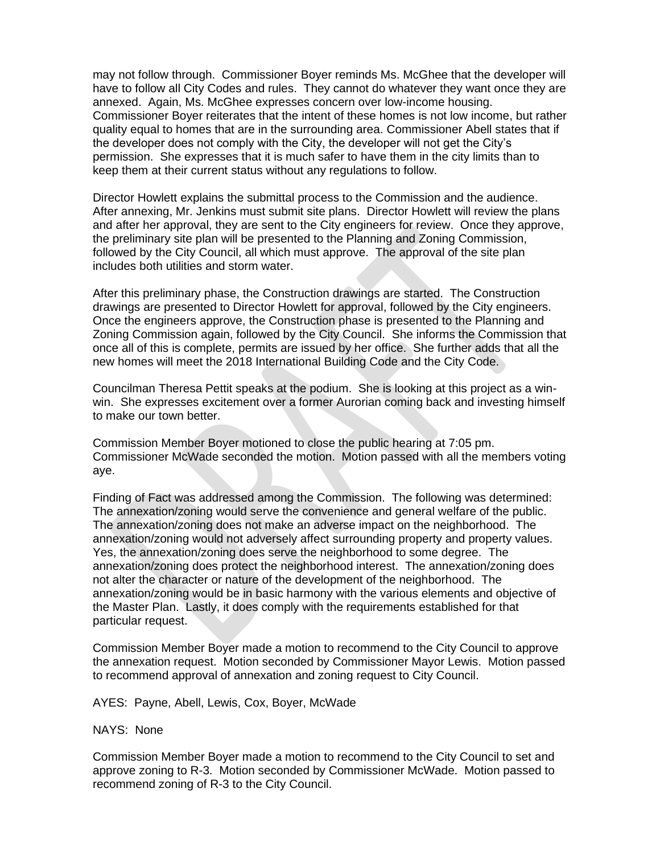may not follow through. Commissioner Boyer reminds Ms. McGhee that the developer will have to follow all City Codes and rules. They cannot do whatever they want once they are annexed. Again, Ms. McGhee expresses concern over low-income housing. Commissioner Boyer reiterates that the intent of these homes is not low income, but rather quality equal to homes that are in the surrounding area. Commissioner Abell states that if the developer does not comply with the City, the developer will not get the City's permission. She expresses that it is much safer to have them in the city limits than to keep them at their current status without any regulations to follow.

Director Howlett explains the submittal process to the Commission and the audience. After annexing, Mr. Jenkins must submit site plans. Director Howlett will review the plans and after her approval, they are sent to the City engineers for review. Once they approve, the preliminary site plan will be presented to the Planning and Zoning Commission, followed by the City Council, all which must approve. The approval of the site plan includes both utilities and storm water.

After this preliminary phase, the Construction drawings are started. The Construction drawings are presented to Director Howlett for approval, followed by the City engineers. Once the engineers approve, the Construction phase is presented to the Planning and Zoning Commission again, followed by the City Council. She informs the Commission that once all of this is complete, permits are issued by her office. She further adds that all the new homes will meet the 2018 International Building Code and the City Code.

Councilman Theresa Pettit speaks at the podium. She is looking at this project as a winwin. She expresses excitement over a former Aurorian coming back and investing himself to make our town better.

Commission Member Boyer motioned to close the public hearing at 7:05 pm. Commissioner McWade seconded the motion. Motion passed with all the members voting aye.

Finding of Fact was addressed among the Commission. The following was determined: The annexation/zoning would serve the convenience and general welfare of the public. The annexation/zoning does not make an adverse impact on the neighborhood. The annexation/zoning would not adversely affect surrounding property and property values. Yes, the annexation/zoning does serve the neighborhood to some degree. The annexation/zoning does protect the neighborhood interest. The annexation/zoning does not alter the character or nature of the development of the neighborhood. The annexation/zoning would be in basic harmony with the various elements and objective of the Master Plan. Lastly, it does comply with the requirements established for that particular request.

Commission Member Boyer made a motion to recommend to the City Council to approve the annexation request. Motion seconded by Commissioner Mayor Lewis. Motion passed to recommend approval of annexation and zoning request to City Council.

AYES: Payne, Abell, Lewis, Cox, Boyer, McWade

NAYS: None

Commission Member Boyer made a motion to recommend to the City Council to set and approve zoning to R-3. Motion seconded by Commissioner McWade. Motion passed to recommend zoning of R-3 to the City Council.